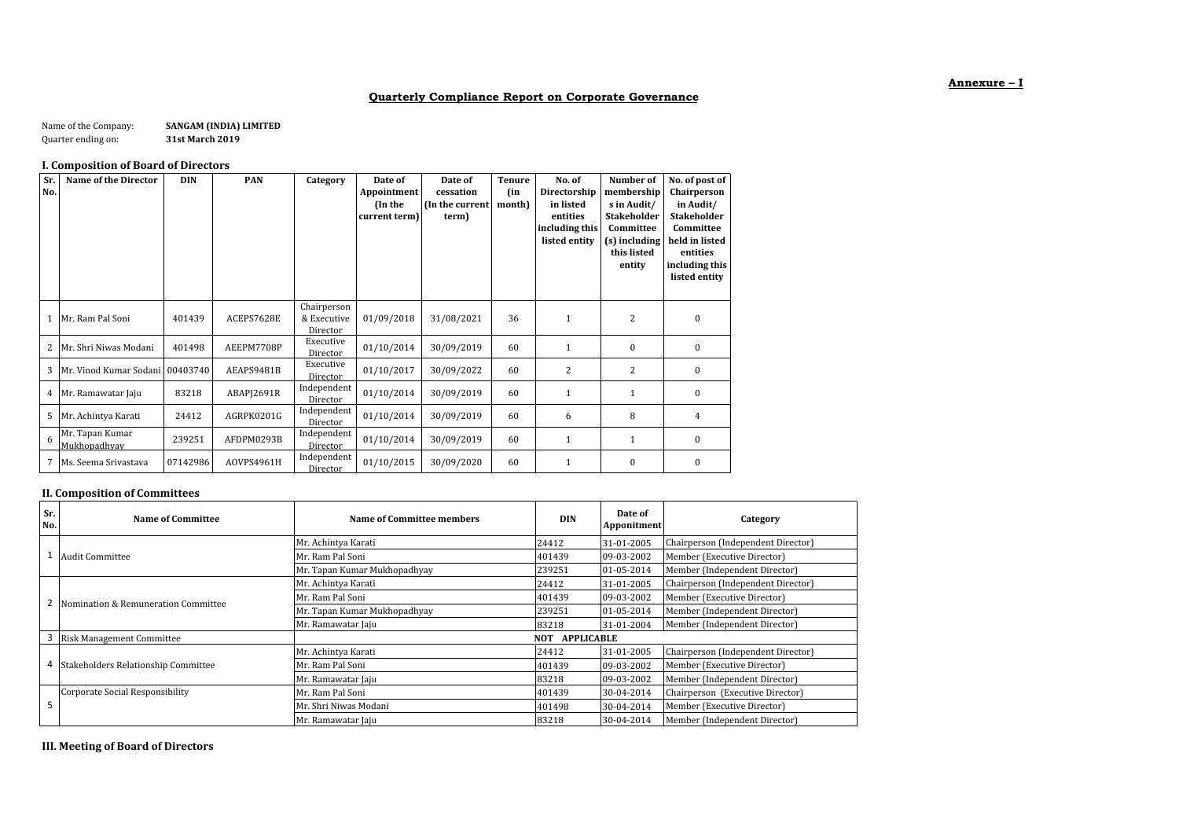# **Quarterly Compliance Report on Corporate Governance**

Name of the Company: **SANGAM (INDIA) LIMITED**<br>Quarter ending on: **31st March 2019** Quarter ending on:

## **I. Composition of Board of Directors**

| Sr.<br>No. | Name of the Director            | <b>DIN</b> | <b>PAN</b> | Category                               | Date of<br>Appointment<br>(In the<br>current term) | Date of<br>cessation<br>(In the current<br>term) | <b>Tenure</b><br>(in<br>month) | No. of<br>Directorship<br>in listed<br>entities<br>including this<br>listed entity | Number of<br>membership<br>s in Audit/<br><b>Stakeholder</b><br>Committee<br>(s) including<br>this listed<br>entity | No. of post of<br>Chairperson<br>in Audit/<br><b>Stakeholder</b><br>Committee<br>held in listed<br>entities<br>including this<br>listed entity |
|------------|---------------------------------|------------|------------|----------------------------------------|----------------------------------------------------|--------------------------------------------------|--------------------------------|------------------------------------------------------------------------------------|---------------------------------------------------------------------------------------------------------------------|------------------------------------------------------------------------------------------------------------------------------------------------|
| 1          | Mr. Ram Pal Soni                | 401439     | ACEPS7628E | Chairperson<br>& Executive<br>Director | 01/09/2018                                         | 31/08/2021                                       | 36                             | $\mathbf{1}$                                                                       | 2                                                                                                                   | $\mathbf{0}$                                                                                                                                   |
| 2          | Mr. Shri Niwas Modani           | 401498     | AEEPM7708P | Executive<br>Director                  | 01/10/2014                                         | 30/09/2019                                       | 60                             | 1                                                                                  | $\mathbf{0}$                                                                                                        | $\mathbf{0}$                                                                                                                                   |
| 3          | Mr. Vinod Kumar Sodani 00403740 |            | AEAPS9481B | Executive<br>Director                  | 01/10/2017                                         | 30/09/2022                                       | 60                             | 2                                                                                  | 2                                                                                                                   | $\mathbf{0}$                                                                                                                                   |
| 4          | Mr. Ramawatar Jaju              | 83218      | ABAPJ2691R | Independent<br>Director                | 01/10/2014                                         | 30/09/2019                                       | 60                             | $\mathbf{1}$                                                                       |                                                                                                                     | $\mathbf{0}$                                                                                                                                   |
| 5          | Mr. Achintya Karati             | 24412      | AGRPK0201G | Independent<br>Director                | 01/10/2014                                         | 30/09/2019                                       | 60                             | 6                                                                                  | 8                                                                                                                   | $\overline{4}$                                                                                                                                 |
| 6          | Mr. Tapan Kumar<br>Mukhopadhyay | 239251     | AFDPM0293B | Independent<br>Director                | 01/10/2014                                         | 30/09/2019                                       | 60                             | 1                                                                                  | 1                                                                                                                   | $\mathbf{0}$                                                                                                                                   |
| 7          | Ms. Seema Srivastava            | 07142986   | AOVPS4961H | Independent<br>Director                | 01/10/2015                                         | 30/09/2020                                       | 60                             | 1                                                                                  | $\mathbf{0}$                                                                                                        | $\bf{0}$                                                                                                                                       |

# **II. Composition of Committees**

| Sr.<br>No. | Name of Committee                     | Name of Committee members    | <b>DIN</b>            | Date of<br>Apponitment | Category                           |  |
|------------|---------------------------------------|------------------------------|-----------------------|------------------------|------------------------------------|--|
|            |                                       | Mr. Achintya Karati          | 24412                 | 31-01-2005             | Chairperson (Independent Director) |  |
|            | <b>Audit Committee</b>                | Mr. Ram Pal Soni             | 401439                | 09-03-2002             | Member (Executive Director)        |  |
|            |                                       | Mr. Tapan Kumar Mukhopadhyay | 239251                | 01-05-2014             | Member (Independent Director)      |  |
|            |                                       | Mr. Achintya Karati          | 24412                 | 31-01-2005             | Chairperson (Independent Director) |  |
|            | 2 Nomination & Remuneration Committee | Mr. Ram Pal Soni             | 401439                | 09-03-2002             | Member (Executive Director)        |  |
|            |                                       | Mr. Tapan Kumar Mukhopadhyay | 239251                | 01-05-2014             | Member (Independent Director)      |  |
|            |                                       | Mr. Ramawatar Jaju           | 83218                 | 31-01-2004             | Member (Independent Director)      |  |
| 3          | <b>Risk Management Committee</b>      |                              | <b>NOT APPLICABLE</b> |                        |                                    |  |
|            |                                       | Mr. Achintya Karati          | 24412                 | 31-01-2005             | Chairperson (Independent Director) |  |
| 4          | Stakeholders Relationship Committee   | Mr. Ram Pal Soni             | 401439                | 09-03-2002             | Member (Executive Director)        |  |
|            |                                       | Mr. Ramawatar Jaju           | 83218                 | 09-03-2002             | Member (Independent Director)      |  |
|            | Corporate Social Responsibility       | Mr. Ram Pal Soni             | 401439                | 30-04-2014             | Chairperson (Executive Director)   |  |
| 5          |                                       | Mr. Shri Niwas Modani        | 401498                | 30-04-2014             | Member (Executive Director)        |  |
|            |                                       | Mr. Ramawatar Jaju           | 83218                 | 30-04-2014             | Member (Independent Director)      |  |

**III. Meeting of Board of Directors**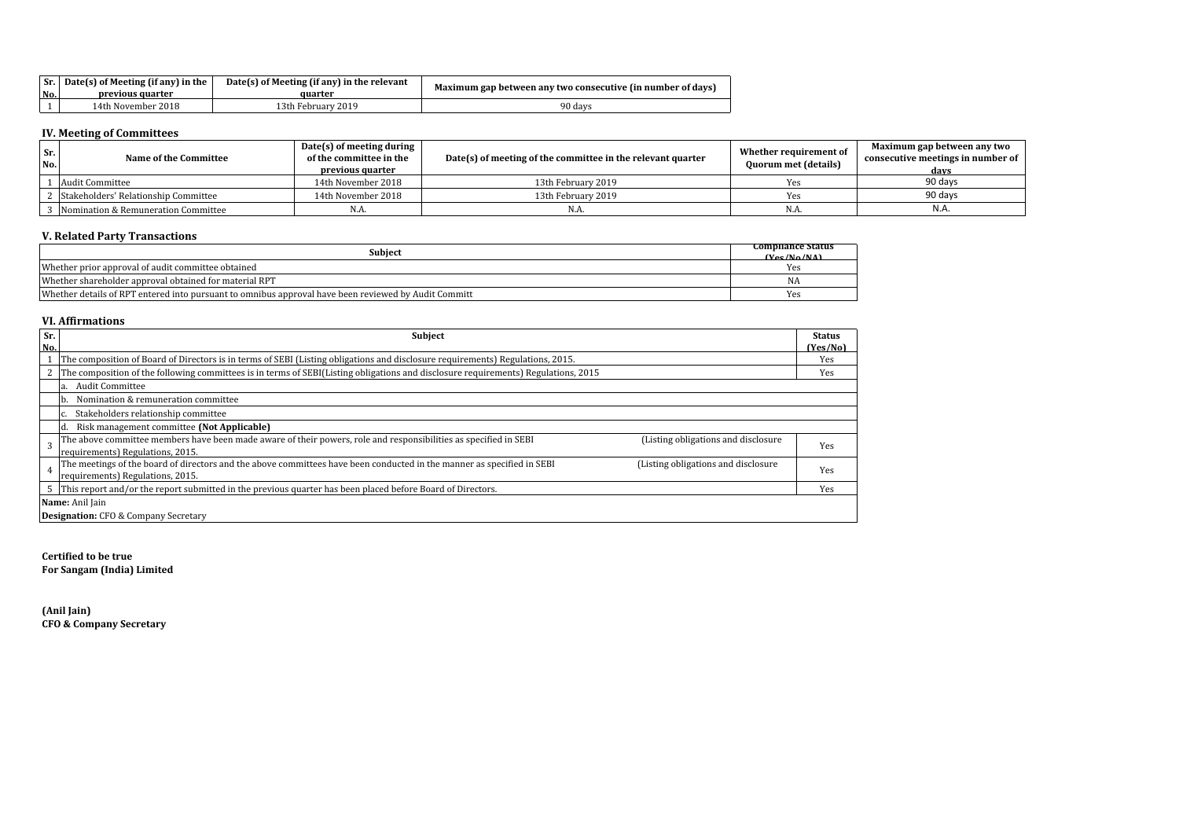|     | $\vert$ Sr. $\vert$ Date(s) of Meeting (if any) in the | Date(s) of Meeting (if any) in the relevant | Maximum gap between any two consecutive (in number of days) |  |  |
|-----|--------------------------------------------------------|---------------------------------------------|-------------------------------------------------------------|--|--|
| No. | previous quarter                                       | auarter                                     |                                                             |  |  |
|     | 14th November 2018                                     | 13th Februarv 2019                          | 90 davs                                                     |  |  |

#### **IV. Meeting of Committees**

| Sr.<br>No. | Name of the Committee                | Date(s) of meeting during<br>of the committee in the<br>previous quarter | Date(s) of meeting of the committee in the relevant quarter | Whether requirement of<br><b>Quorum met (details)</b> | Maximum gap between any two<br>consecutive meetings in number of<br>days |
|------------|--------------------------------------|--------------------------------------------------------------------------|-------------------------------------------------------------|-------------------------------------------------------|--------------------------------------------------------------------------|
|            | Audit Committee                      | 14th November 2018                                                       | 13th February 2019                                          |                                                       | 90 days                                                                  |
|            | Stakeholders' Relationship Committee | 14th November 2018                                                       | 13th February 2019                                          | Yes                                                   | 90 davs                                                                  |
|            | Nomination & Remuneration Committee  | N.A.                                                                     | N.A.                                                        | N.A.                                                  | N.A.                                                                     |

# **V. Related Party Transactions**

| <b>Subject</b>                                                                                       | Compliance Status                                  |
|------------------------------------------------------------------------------------------------------|----------------------------------------------------|
| Whether prior approval of audit committee obtained                                                   | $(V_{\text{AC}}/N_{\text{A}}/N_{\text{A}})$<br>Yes |
|                                                                                                      |                                                    |
| Whether shareholder approval obtained for material RPT                                               | NA                                                 |
| Whether details of RPT entered into pursuant to omnibus approval have been reviewed by Audit Committ | Yes                                                |

# **VI. Affirmations**

| Sr.<br>No. | <b>Subject</b>                                                                                                                                                 | <b>Status</b><br>(Yes/No) |
|------------|----------------------------------------------------------------------------------------------------------------------------------------------------------------|---------------------------|
|            | The composition of Board of Directors is in terms of SEBI (Listing obligations and disclosure requirements) Regulations, 2015.                                 | Yes                       |
|            | The composition of the following committees is in terms of SEBI(Listing obligations and disclosure requirements) Regulations, 2015                             | Yes                       |
|            | Audit Committee<br>a.                                                                                                                                          |                           |
|            | Nomination & remuneration committee<br>Ib.                                                                                                                     |                           |
|            | Stakeholders relationship committee                                                                                                                            |                           |
|            | Risk management committee (Not Applicable)<br>Id.                                                                                                              |                           |
|            | The above committee members have been made aware of their powers, role and responsibilities as specified in SEBI<br>(Listing obligations and disclosure        | Yes                       |
|            | requirements) Regulations, 2015.                                                                                                                               |                           |
|            | The meetings of the board of directors and the above committees have been conducted in the manner as specified in SEBI<br>(Listing obligations and disclosure) | Yes                       |
|            | requirements) Regulations, 2015.                                                                                                                               |                           |
|            | 5 This report and/or the report submitted in the previous quarter has been placed before Board of Directors.                                                   | Yes                       |
|            | Name: Anil Jain                                                                                                                                                |                           |
|            | <b>Designation:</b> CFO & Company Secretary                                                                                                                    |                           |

**Certified to be true For Sangam (India) Limited**

**(Anil Jain) CFO & Company Secretary**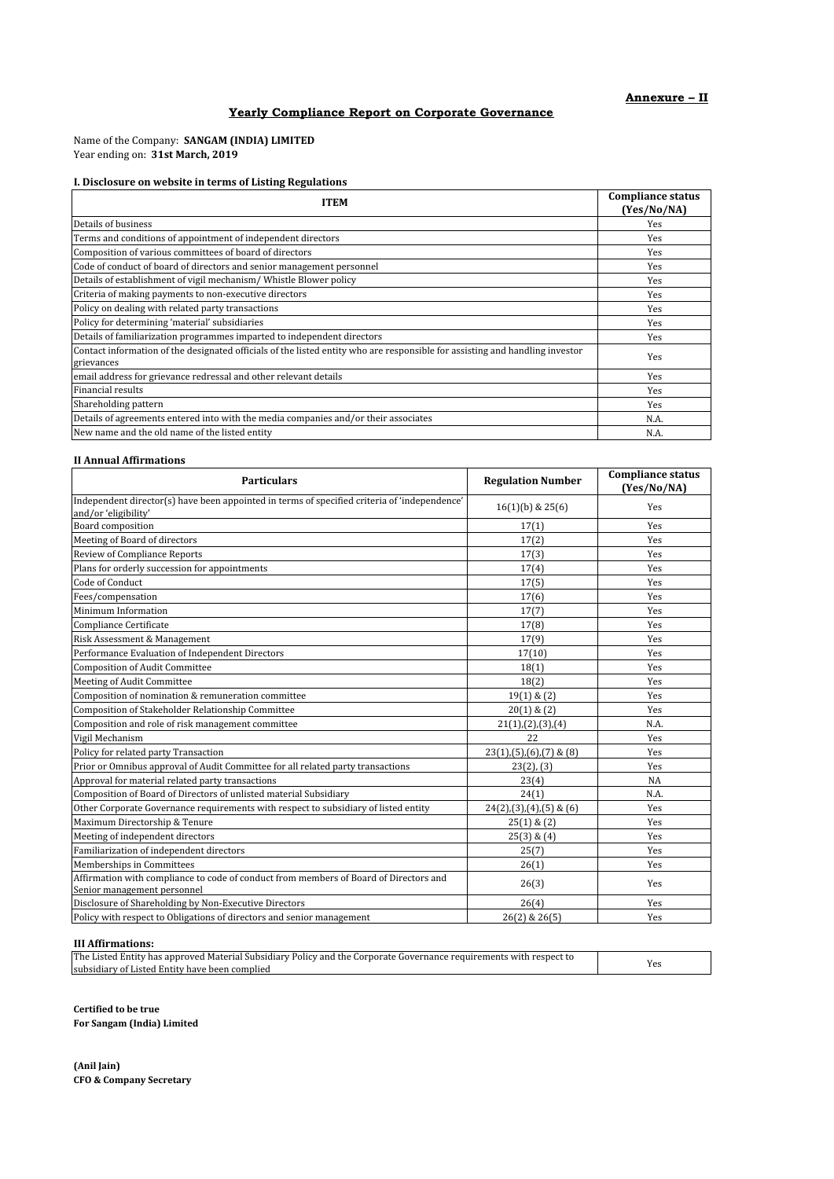# **Yearly Compliance Report on Corporate Governance**

Name of the Company: **SANGAM (INDIA) LIMITED** Year ending on: **31st March, 2019**

# **I. Disclosure on website in terms of Listing Regulations**

| <b>ITEM</b>                                                                                                                                | <b>Compliance status</b><br>(Yes/No/NA) |
|--------------------------------------------------------------------------------------------------------------------------------------------|-----------------------------------------|
| Details of business                                                                                                                        | Yes                                     |
| Terms and conditions of appointment of independent directors                                                                               | Yes                                     |
| Composition of various committees of board of directors                                                                                    | Yes                                     |
| Code of conduct of board of directors and senior management personnel                                                                      | Yes                                     |
| Details of establishment of vigil mechanism/Whistle Blower policy                                                                          | Yes                                     |
| Criteria of making payments to non-executive directors                                                                                     | Yes                                     |
| Policy on dealing with related party transactions                                                                                          | Yes                                     |
| Policy for determining 'material' subsidiaries                                                                                             | Yes                                     |
| Details of familiarization programmes imparted to independent directors                                                                    | Yes                                     |
| Contact information of the designated officials of the listed entity who are responsible for assisting and handling investor<br>grievances | Yes                                     |
| email address for grievance redressal and other relevant details                                                                           | Yes                                     |
| Financial results                                                                                                                          | Yes                                     |
| Shareholding pattern                                                                                                                       | Yes                                     |
| Details of agreements entered into with the media companies and/or their associates                                                        | N.A.                                    |
| New name and the old name of the listed entity                                                                                             | N.A.                                    |

### **II Annual Affirmations**

| <b>Particulars</b>                                                                                                   | <b>Regulation Number</b>                | <b>Compliance status</b><br>(Yes/No/NA) |
|----------------------------------------------------------------------------------------------------------------------|-----------------------------------------|-----------------------------------------|
| Independent director(s) have been appointed in terms of specified criteria of 'independence'<br>and/or 'eligibility' | $16(1)(b)$ & $25(6)$                    | Yes                                     |
| Board composition                                                                                                    | 17(1)                                   | Yes                                     |
| Meeting of Board of directors                                                                                        | 17(2)                                   | Yes                                     |
| Review of Compliance Reports                                                                                         | 17(3)                                   | Yes                                     |
| Plans for orderly succession for appointments                                                                        | 17(4)                                   | Yes                                     |
| Code of Conduct                                                                                                      | 17(5)                                   | Yes                                     |
| Fees/compensation                                                                                                    | 17(6)                                   | Yes                                     |
| Minimum Information                                                                                                  | 17(7)                                   | Yes                                     |
| Compliance Certificate                                                                                               | 17(8)                                   | Yes                                     |
| Risk Assessment & Management                                                                                         | 17(9)                                   | Yes                                     |
| Performance Evaluation of Independent Directors                                                                      | 17(10)                                  | Yes                                     |
| <b>Composition of Audit Committee</b>                                                                                | 18(1)                                   | Yes                                     |
| Meeting of Audit Committee                                                                                           | 18(2)                                   | Yes                                     |
| Composition of nomination & remuneration committee                                                                   | $19(1)$ & $(2)$                         | Yes                                     |
| Composition of Stakeholder Relationship Committee                                                                    | $20(1)$ & $(2)$                         | Yes                                     |
| Composition and role of risk management committee                                                                    | 21(1),(2),(3),(4)                       | N.A.                                    |
| Vigil Mechanism                                                                                                      | 22                                      | Yes                                     |
| Policy for related party Transaction                                                                                 | $23(1)$ , $(5)$ , $(6)$ , $(7)$ & $(8)$ | Yes                                     |
| Prior or Omnibus approval of Audit Committee for all related party transactions                                      | $23(2)$ , $(3)$                         | Yes                                     |
| Approval for material related party transactions                                                                     | 23(4)                                   | <b>NA</b>                               |
| Composition of Board of Directors of unlisted material Subsidiary                                                    | 24(1)                                   | N.A.                                    |
| Other Corporate Governance requirements with respect to subsidiary of listed entity                                  | $24(2),(3),(4),(5)$ & (6)               | Yes                                     |
| Maximum Directorship & Tenure                                                                                        | $25(1)$ & $(2)$                         | Yes                                     |
| Meeting of independent directors                                                                                     | $25(3)$ & $(4)$                         | Yes                                     |
| Familiarization of independent directors                                                                             | 25(7)                                   | Yes                                     |
| Memberships in Committees                                                                                            | 26(1)                                   | Yes                                     |
| Affirmation with compliance to code of conduct from members of Board of Directors and<br>Senior management personnel | 26(3)                                   | Yes                                     |
| Disclosure of Shareholding by Non-Executive Directors                                                                | 26(4)                                   | Yes                                     |
| Policy with respect to Obligations of directors and senior management                                                | 26(2) & 26(5)                           | Yes                                     |

## **III Affirmations:**

| The<br>respect to<br>* sazit<br>bsidiary<br>rnorate<br>Listed<br>Materia<br>es annroveo<br>. COP*<br>.000er<br>-Policy<br>entity<br>τne.<br>and<br>auır<br>rements<br>na:<br>mance<br>ווור<br>таг |     |
|---------------------------------------------------------------------------------------------------------------------------------------------------------------------------------------------------|-----|
| subsidiary<br>complied<br>have<br>astec<br>. Entit<br>beer<br>ΩŤ                                                                                                                                  | Yes |

**Certified to be true For Sangam (India) Limited**

**(Anil Jain) CFO & Company Secretary**